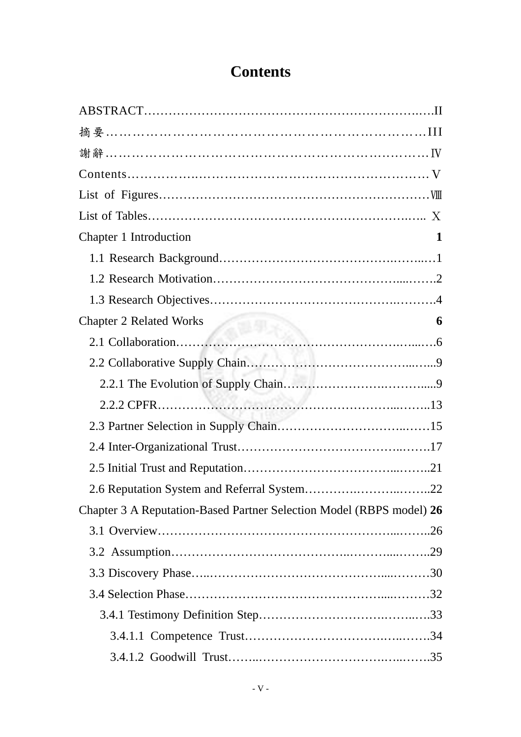## **Contents**

| Chapter 1 Introduction<br>1                                          |
|----------------------------------------------------------------------|
|                                                                      |
|                                                                      |
|                                                                      |
| <b>Chapter 2 Related Works</b><br>6                                  |
|                                                                      |
|                                                                      |
|                                                                      |
|                                                                      |
|                                                                      |
|                                                                      |
|                                                                      |
| 2.6 Reputation System and Referral System22                          |
| Chapter 3 A Reputation-Based Partner Selection Model (RBPS model) 26 |
|                                                                      |
|                                                                      |
|                                                                      |
|                                                                      |
|                                                                      |
|                                                                      |
|                                                                      |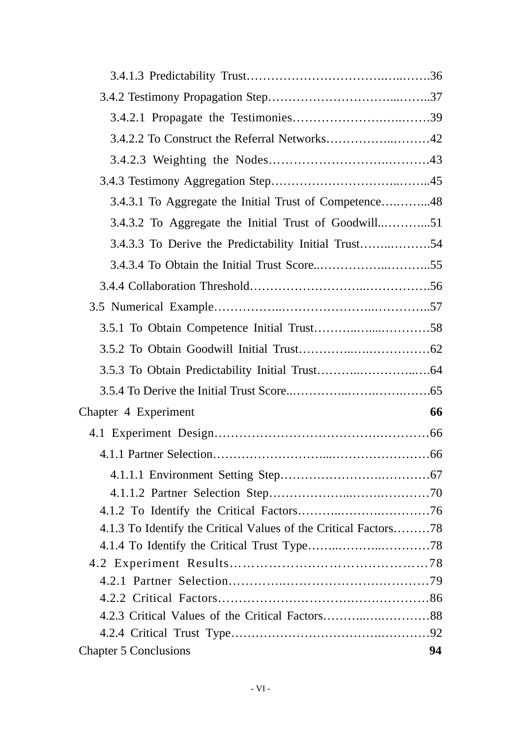| 3.4.3.1 To Aggregate the Initial Trust of Competence48          |    |
|-----------------------------------------------------------------|----|
|                                                                 |    |
| 3.4.3.3 To Derive the Predictability Initial Trust54            |    |
|                                                                 |    |
|                                                                 |    |
|                                                                 |    |
|                                                                 |    |
|                                                                 |    |
|                                                                 |    |
|                                                                 |    |
|                                                                 | 66 |
| Chapter 4 Experiment                                            |    |
|                                                                 |    |
|                                                                 |    |
|                                                                 |    |
|                                                                 |    |
|                                                                 |    |
| 4.1.3 To Identify the Critical Values of the Critical Factors78 |    |
|                                                                 |    |
|                                                                 |    |
|                                                                 |    |
|                                                                 |    |
|                                                                 |    |
|                                                                 |    |
| <b>Chapter 5 Conclusions</b>                                    | 94 |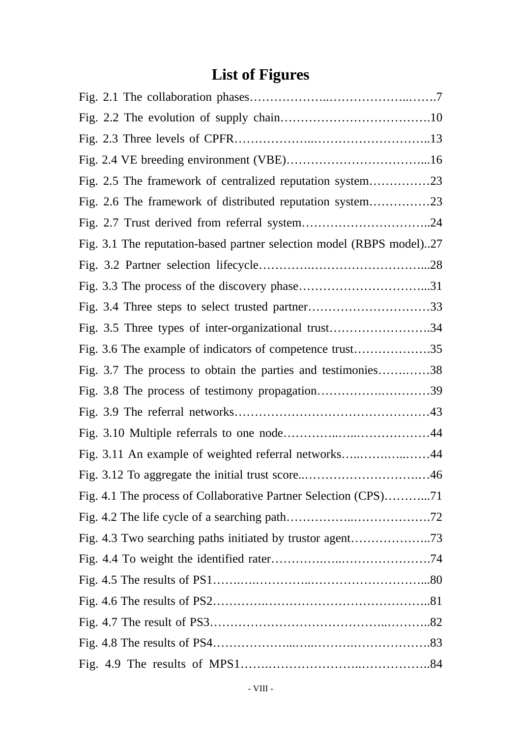## **List of Figures**

| Fig. 2.5 The framework of centralized reputation system23            |  |
|----------------------------------------------------------------------|--|
| Fig. 2.6 The framework of distributed reputation system23            |  |
|                                                                      |  |
| Fig. 3.1 The reputation-based partner selection model (RBPS model)27 |  |
|                                                                      |  |
|                                                                      |  |
|                                                                      |  |
| Fig. 3.5 Three types of inter-organizational trust34                 |  |
| Fig. 3.6 The example of indicators of competence trust35             |  |
| Fig. 3.7 The process to obtain the parties and testimonies38         |  |
|                                                                      |  |
|                                                                      |  |
|                                                                      |  |
| Fig. 3.11 An example of weighted referral networks44                 |  |
|                                                                      |  |
| Fig. 4.1 The process of Collaborative Partner Selection (CPS)71      |  |
|                                                                      |  |
|                                                                      |  |
|                                                                      |  |
|                                                                      |  |
|                                                                      |  |
|                                                                      |  |
|                                                                      |  |
|                                                                      |  |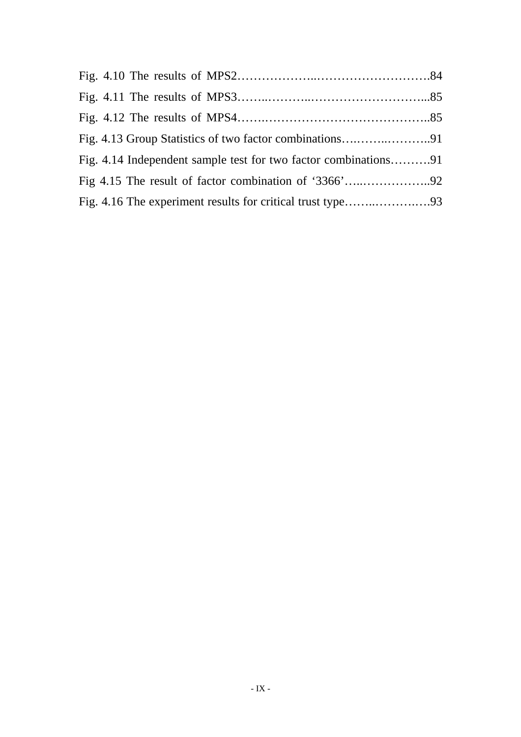| Fig. 4.14 Independent sample test for two factor combinations91 |  |
|-----------------------------------------------------------------|--|
|                                                                 |  |
|                                                                 |  |